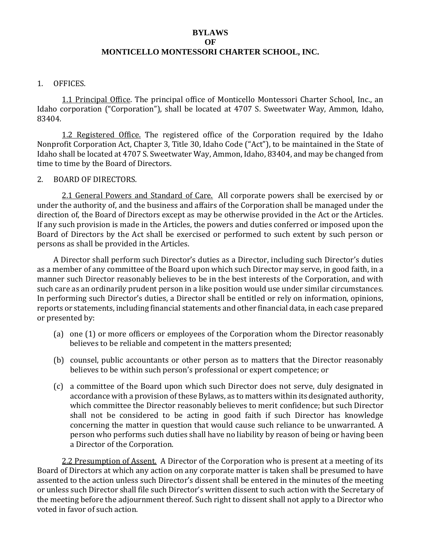# **BYLAWS**

## **OF**

### **MONTICELLO MONTESSORI CHARTER SCHOOL, INC.**

#### 1. OFFICES.

1.1 Principal Office. The principal office of Monticello Montessori Charter School, Inc., an Idaho corporation ("Corporation"), shall be located at 4707 S. Sweetwater Way, Ammon, Idaho, 83404.

1.2 Registered Office. The registered office of the Corporation required by the Idaho Nonprofit Corporation Act, Chapter 3, Title 30, Idaho Code ("Act"), to be maintained in the State of Idaho shall be located at 4707 S. Sweetwater Way, Ammon, Idaho, 83404, and may be changed from time to time by the Board of Directors.

#### 2. BOARD OF DIRECTORS.

2.1 General Powers and Standard of Care. All corporate powers shall be exercised by or under the authority of, and the business and affairs of the Corporation shall be managed under the direction of, the Board of Directors except as may be otherwise provided in the Act or the Articles. If any such provision is made in the Articles, the powers and duties conferred or imposed upon the Board of Directors by the Act shall be exercised or performed to such extent by such person or persons as shall be provided in the Articles.

A Director shall perform such Director's duties as a Director, including such Director's duties as a member of any committee of the Board upon which such Director may serve, in good faith, in a manner such Director reasonably believes to be in the best interests of the Corporation, and with such care as an ordinarily prudent person in a like position would use under similar circumstances. In performing such Director's duties, a Director shall be entitled or rely on information, opinions, reports or statements, including financial statements and other financial data, in each case prepared or presented by:

- (a) one (1) or more officers or employees of the Corporation whom the Director reasonably believes to be reliable and competent in the matters presented;
- (b) counsel, public accountants or other person as to matters that the Director reasonably believes to be within such person's professional or expert competence; or
- (c) a committee of the Board upon which such Director does not serve, duly designated in accordance with a provision of these Bylaws, as to matters within its designated authority, which committee the Director reasonably believes to merit confidence; but such Director shall not be considered to be acting in good faith if such Director has knowledge concerning the matter in question that would cause such reliance to be unwarranted. A person who performs such duties shall have no liability by reason of being or having been a Director of the Corporation.

2.2 Presumption of Assent. A Director of the Corporation who is present at a meeting of its Board of Directors at which any action on any corporate matter is taken shall be presumed to have assented to the action unless such Director's dissent shall be entered in the minutes of the meeting or unless such Director shall file such Director's written dissent to such action with the Secretary of the meeting before the adjournment thereof. Such right to dissent shall not apply to a Director who voted in favor of such action.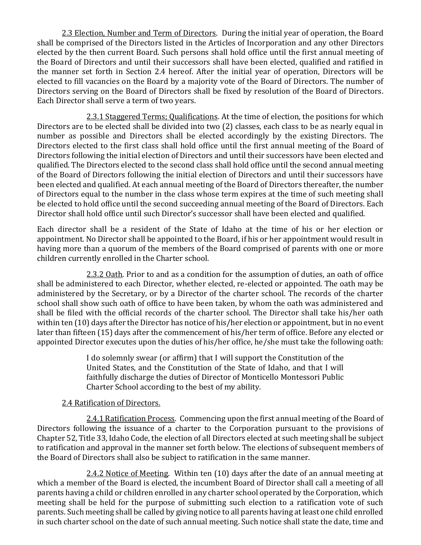2.3 Election, Number and Term of Directors. During the initial year of operation, the Board shall be comprised of the Directors listed in the Articles of Incorporation and any other Directors elected by the then current Board. Such persons shall hold office until the first annual meeting of the Board of Directors and until their successors shall have been elected, qualified and ratified in the manner set forth in Section 2.4 hereof. After the initial year of operation, Directors will be elected to fill vacancies on the Board by a majority vote of the Board of Directors. The number of Directors serving on the Board of Directors shall be fixed by resolution of the Board of Directors. Each Director shall serve a term of two years.

2.3.1 Staggered Terms; Qualifications. At the time of election, the positions for which Directors are to be elected shall be divided into two (2) classes, each class to be as nearly equal in number as possible and Directors shall be elected accordingly by the existing Directors. The Directors elected to the first class shall hold office until the first annual meeting of the Board of Directors following the initial election of Directors and until their successors have been elected and qualified. The Directors elected to the second class shall hold office until the second annual meeting of the Board of Directors following the initial election of Directors and until their successors have been elected and qualified. At each annual meeting of the Board of Directors thereafter, the number of Directors equal to the number in the class whose term expires at the time of such meeting shall be elected to hold office until the second succeeding annual meeting of the Board of Directors. Each Director shall hold office until such Director's successor shall have been elected and qualified.

Each director shall be a resident of the State of Idaho at the time of his or her election or appointment. No Director shall be appointed to the Board, if his or her appointment would result in having more than a quorum of the members of the Board comprised of parents with one or more children currently enrolled in the Charter school.

2.3.2 Oath. Prior to and as a condition for the assumption of duties, an oath of office shall be administered to each Director, whether elected, re-elected or appointed. The oath may be administered by the Secretary, or by a Director of the charter school. The records of the charter school shall show such oath of office to have been taken, by whom the oath was administered and shall be filed with the official records of the charter school. The Director shall take his/her oath within ten (10) days after the Director has notice of his/her election or appointment, but in no event later than fifteen (15) days after the commencement of his/her term of office. Before any elected or appointed Director executes upon the duties of his/her office, he/she must take the following oath:

> I do solemnly swear (or affirm) that I will support the Constitution of the United States, and the Constitution of the State of Idaho, and that I will faithfully discharge the duties of Director of Monticello Montessori Public Charter School according to the best of my ability.

### 2.4 Ratification of Directors.

2.4.1 Ratification Process. Commencing upon the first annual meeting of the Board of Directors following the issuance of a charter to the Corporation pursuant to the provisions of Chapter 52, Title 33, Idaho Code, the election of all Directors elected at such meeting shall be subject to ratification and approval in the manner set forth below. The elections of subsequent members of the Board of Directors shall also be subject to ratification in the same manner.

2.4.2 Notice of Meeting. Within ten (10) days after the date of an annual meeting at which a member of the Board is elected, the incumbent Board of Director shall call a meeting of all parents having a child or children enrolled in any charter school operated by the Corporation, which meeting shall be held for the purpose of submitting such election to a ratification vote of such parents. Such meeting shall be called by giving notice to all parents having at least one child enrolled in such charter school on the date of such annual meeting. Such notice shall state the date, time and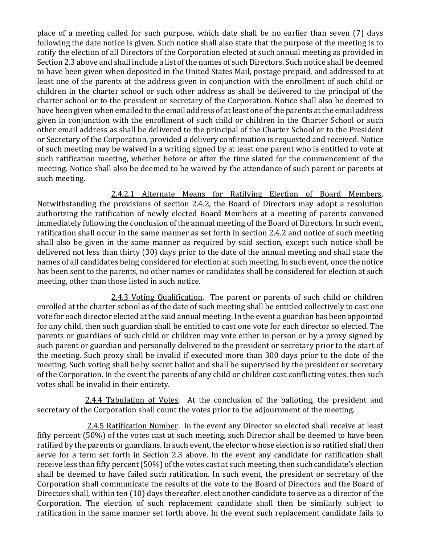place of a meeting called for such purpose, which date shall be no earlier than seven (7) days following the date notice is given. Such notice shall also state that the purpose of the meeting is to ratify the election of all Directors of the Corporation elected at such annual meeting as provided in Section 2.3 above and shall include a list of the names of such Directors. Such notice shall be deemed to have been given when deposited in the United States Mail, postage prepaid, and addressed to at least one of the parents at the address given in conjunction with the enrollment of such child or children in the charter school or such other address as shall be delivered to the principal of the charter school or to the president or secretary of the Corporation. Notice shall also be deemed to have been given when emailed to the email address of at least one of the parents at the email address given in conjunction with the enrollment of such child or children in the Charter School or such other email address as shall be delivered to the principal of the Charter School or to the President or Secretary of the Corporation, provided a delivery confirmation is requested and received. Notice of such meeting may be waived in a writing signed by at least one parent who is entitled to vote at such ratification meeting, whether before or after the time slated for the commencement of the meeting. Notice shall also be deemed to be waived by the attendance of such parent or parents at such meeting.

2.4.2.1 Alternate Means for Ratifying Election of Board Members. Notwithstanding the provisions of section 2.4.2, the Board of Directors may adopt a resolution authorizing the ratification of newly elected Board Members at a meeting of parents convened immediately following the conclusion of the annual meeting of the Board of Directors. In such event, ratification shall occur in the same manner as set forth in section 2.4.2 and notice of such meeting shall also be given in the same manner as required by said section, except such notice shall be delivered not less than thirty (30) days prior to the date of the annual meeting and shall state the names of all candidates being considered for election at such meeting. In such event, once the notice has been sent to the parents, no other names or candidates shall be considered for election at such meeting, other than those listed in such notice.

2.4.3 Voting Qualification. The parent or parents of such child or children enrolled at the charter school as of the date of such meeting shall be entitled collectively to cast one vote for each director elected at the said annual meeting. In the event a guardian has been appointed for any child, then such guardian shall be entitled to cast one vote for each director so elected. The parents or guardians of such child or children may vote either in person or by a proxy signed by such parent or guardian and personally delivered to the president or secretary prior to the start of the meeting. Such proxy shall be invalid if executed more than 300 days prior to the date of the meeting. Such voting shall be by secret ballot and shall be supervised by the president or secretary of the Corporation. In the event the parents of any child or children cast conflicting votes, then such votes shall be invalid in their entirety.

2.4.4 Tabulation of Votes. At the conclusion of the balloting, the president and secretary of the Corporation shall count the votes prior to the adjournment of the meeting.

 2.4.5 Ratification Number. In the event any Director so elected shall receive at least fifty percent (50%) of the votes cast at such meeting, such Director shall be deemed to have been ratified by the parents or guardians. In such event, the elector whose election is so ratified shall then serve for a term set forth in Section 2.3 above. In the event any candidate for ratification shall receive less than fifty percent (50%) of the votes cast at such meeting, then such candidate's election shall be deemed to have failed such ratification. In such event, the president or secretary of the Corporation shall communicate the results of the vote to the Board of Directors and the Board of Directors shall, within ten (10) days thereafter, elect another candidate to serve as a director of the Corporation. The election of such replacement candidate shall then be similarly subject to ratification in the same manner set forth above. In the event such replacement candidate fails to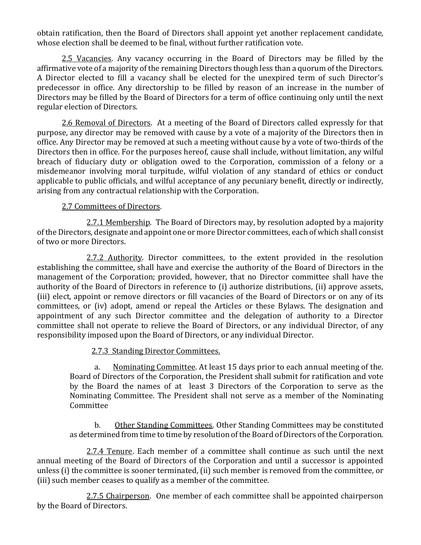obtain ratification, then the Board of Directors shall appoint yet another replacement candidate, whose election shall be deemed to be final, without further ratification vote.

2.5 Vacancies. Any vacancy occurring in the Board of Directors may be filled by the affirmative vote of a majority of the remaining Directors though less than a quorum of the Directors. A Director elected to fill a vacancy shall be elected for the unexpired term of such Director's predecessor in office. Any directorship to be filled by reason of an increase in the number of Directors may be filled by the Board of Directors for a term of office continuing only until the next regular election of Directors.

2.6 Removal of Directors. At a meeting of the Board of Directors called expressly for that purpose, any director may be removed with cause by a vote of a majority of the Directors then in office. Any Director may be removed at such a meeting without cause by a vote of two-thirds of the Directors then in office. For the purposes hereof, cause shall include, without limitation, any wilful breach of fiduciary duty or obligation owed to the Corporation, commission of a felony or a misdemeanor involving moral turpitude, wilful violation of any standard of ethics or conduct applicable to public officials, and wilful acceptance of any pecuniary benefit, directly or indirectly, arising from any contractual relationship with the Corporation.

### 2.7 Committees of Directors.

2.7.1 Membership. The Board of Directors may, by resolution adopted by a majority of the Directors, designate and appoint one or more Director committees, each of which shall consist of two or more Directors.

2.7.2 Authority. Director committees, to the extent provided in the resolution establishing the committee, shall have and exercise the authority of the Board of Directors in the management of the Corporation; provided, however, that no Director committee shall have the authority of the Board of Directors in reference to (i) authorize distributions, (ii) approve assets, (iii) elect, appoint or remove directors or fill vacancies of the Board of Directors or on any of its committees, or (iv) adopt, amend or repeal the Articles or these Bylaws. The designation and appointment of any such Director committee and the delegation of authority to a Director committee shall not operate to relieve the Board of Directors, or any individual Director, of any responsibility imposed upon the Board of Directors, or any individual Director.

# 2.7.3 Standing Director Committees.

a. Nominating Committee. At least 15 days prior to each annual meeting of the. Board of Directors of the Corporation, the President shall submit for ratification and vote by the Board the names of at least 3 Directors of the Corporation to serve as the Nominating Committee. The President shall not serve as a member of the Nominating Committee

b. Other Standing Committees. Other Standing Committees may be constituted as determined from time to time by resolution of the Board of Directors of the Corporation.

2.7.4 Tenure. Each member of a committee shall continue as such until the next annual meeting of the Board of Directors of the Corporation and until a successor is appointed unless (i) the committee is sooner terminated, (ii) such member is removed from the committee, or (iii) such member ceases to qualify as a member of the committee.

2.7.5 Chairperson. One member of each committee shall be appointed chairperson by the Board of Directors.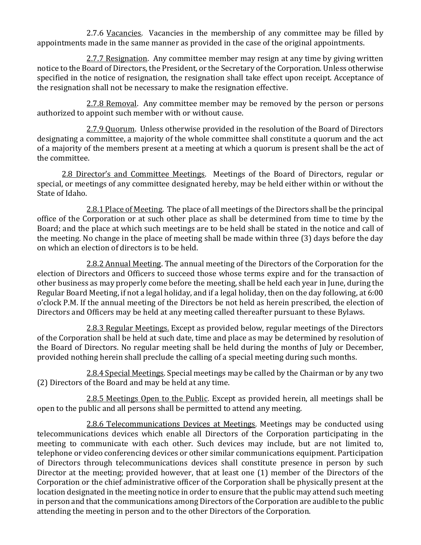2.7.6 Vacancies. Vacancies in the membership of any committee may be filled by appointments made in the same manner as provided in the case of the original appointments.

2.7.7 Resignation. Any committee member may resign at any time by giving written notice to the Board of Directors, the President, or the Secretary of the Corporation. Unless otherwise specified in the notice of resignation, the resignation shall take effect upon receipt. Acceptance of the resignation shall not be necessary to make the resignation effective.

2.7.8 Removal. Any committee member may be removed by the person or persons authorized to appoint such member with or without cause.

2.7.9 Quorum. Unless otherwise provided in the resolution of the Board of Directors designating a committee, a majority of the whole committee shall constitute a quorum and the act of a majority of the members present at a meeting at which a quorum is present shall be the act of the committee.

2.8 Director's and Committee Meetings. Meetings of the Board of Directors, regular or special, or meetings of any committee designated hereby, may be held either within or without the State of Idaho.

2.8.1 Place of Meeting. The place of all meetings of the Directors shall be the principal office of the Corporation or at such other place as shall be determined from time to time by the Board; and the place at which such meetings are to be held shall be stated in the notice and call of the meeting. No change in the place of meeting shall be made within three (3) days before the day on which an election of directors is to be held.

2.8.2 Annual Meeting. The annual meeting of the Directors of the Corporation for the election of Directors and Officers to succeed those whose terms expire and for the transaction of other business as may properly come before the meeting, shall be held each year in June, during the Regular Board Meeting, if not a legal holiday, and if a legal holiday, then on the day following, at 6:00 o'clock P.M. If the annual meeting of the Directors be not held as herein prescribed, the election of Directors and Officers may be held at any meeting called thereafter pursuant to these Bylaws.

2.8.3 Regular Meetings. Except as provided below, regular meetings of the Directors of the Corporation shall be held at such date, time and place as may be determined by resolution of the Board of Directors. No regular meeting shall be held during the months of July or December, provided nothing herein shall preclude the calling of a special meeting during such months.

2.8.4 Special Meetings. Special meetings may be called by the Chairman or by any two (2) Directors of the Board and may be held at any time.

2.8.5 Meetings Open to the Public. Except as provided herein, all meetings shall be open to the public and all persons shall be permitted to attend any meeting.

2.8.6 Telecommunications Devices at Meetings. Meetings may be conducted using telecommunications devices which enable all Directors of the Corporation participating in the meeting to communicate with each other. Such devices may include, but are not limited to, telephone or video conferencing devices or other similar communications equipment. Participation of Directors through telecommunications devices shall constitute presence in person by such Director at the meeting; provided however, that at least one (1) member of the Directors of the Corporation or the chief administrative officer of the Corporation shall be physically present at the location designated in the meeting notice in order to ensure that the public may attend such meeting in person and that the communications among Directors of the Corporation are audible to the public attending the meeting in person and to the other Directors of the Corporation.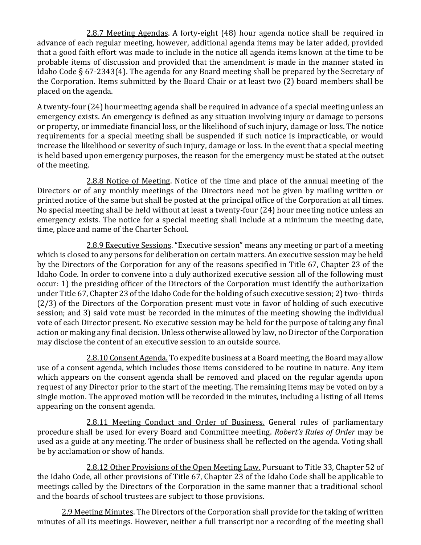2.8.7 Meeting Agendas. A forty-eight (48) hour agenda notice shall be required in advance of each regular meeting, however, additional agenda items may be later added, provided that a good faith effort was made to include in the notice all agenda items known at the time to be probable items of discussion and provided that the amendment is made in the manner stated in Idaho Code § 67-2343(4). The agenda for any Board meeting shall be prepared by the Secretary of the Corporation. Items submitted by the Board Chair or at least two (2) board members shall be placed on the agenda.

A twenty-four (24) hour meeting agenda shall be required in advance of a special meeting unless an emergency exists. An emergency is defined as any situation involving injury or damage to persons or property, or immediate financial loss, or the likelihood of such injury, damage or loss. The notice requirements for a special meeting shall be suspended if such notice is impracticable, or would increase the likelihood or severity of such injury, damage or loss. In the event that a special meeting is held based upon emergency purposes, the reason for the emergency must be stated at the outset of the meeting.

2.8.8 Notice of Meeting. Notice of the time and place of the annual meeting of the Directors or of any monthly meetings of the Directors need not be given by mailing written or printed notice of the same but shall be posted at the principal office of the Corporation at all times. No special meeting shall be held without at least a twenty-four (24) hour meeting notice unless an emergency exists. The notice for a special meeting shall include at a minimum the meeting date, time, place and name of the Charter School.

2.8.9 Executive Sessions. "Executive session" means any meeting or part of a meeting which is closed to any persons for deliberation on certain matters. An executive session may be held by the Directors of the Corporation for any of the reasons specified in Title 67, Chapter 23 of the Idaho Code. In order to convene into a duly authorized executive session all of the following must occur: 1) the presiding officer of the Directors of the Corporation must identify the authorization under Title 67, Chapter 23 of the Idaho Code for the holding of such executive session; 2) two- thirds (2/3) of the Directors of the Corporation present must vote in favor of holding of such executive session; and 3) said vote must be recorded in the minutes of the meeting showing the individual vote of each Director present. No executive session may be held for the purpose of taking any final action or making any final decision. Unless otherwise allowed by law, no Director of the Corporation may disclose the content of an executive session to an outside source.

2.8.10 Consent Agenda. To expedite business at a Board meeting, the Board may allow use of a consent agenda, which includes those items considered to be routine in nature. Any item which appears on the consent agenda shall be removed and placed on the regular agenda upon request of any Director prior to the start of the meeting. The remaining items may be voted on by a single motion. The approved motion will be recorded in the minutes, including a listing of all items appearing on the consent agenda.

2.8.11 Meeting Conduct and Order of Business. General rules of parliamentary procedure shall be used for every Board and Committee meeting. *Robert's Rules of Order* may be used as a guide at any meeting. The order of business shall be reflected on the agenda. Voting shall be by acclamation or show of hands.

2.8.12 Other Provisions of the Open Meeting Law. Pursuant to Title 33, Chapter 52 of the Idaho Code, all other provisions of Title 67, Chapter 23 of the Idaho Code shall be applicable to meetings called by the Directors of the Corporation in the same manner that a traditional school and the boards of school trustees are subject to those provisions.

2.9 Meeting Minutes. The Directors of the Corporation shall provide for the taking of written minutes of all its meetings. However, neither a full transcript nor a recording of the meeting shall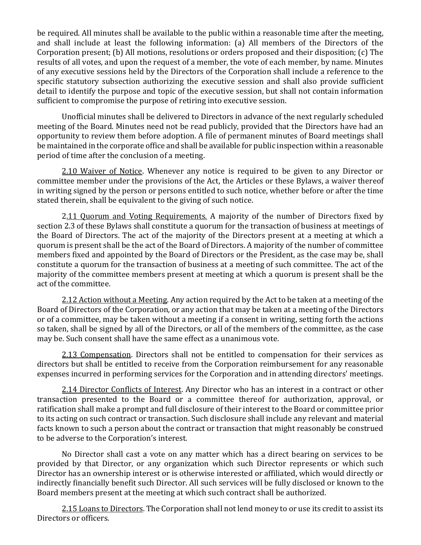be required. All minutes shall be available to the public within a reasonable time after the meeting, and shall include at least the following information: (a) All members of the Directors of the Corporation present; (b) All motions, resolutions or orders proposed and their disposition; (c) The results of all votes, and upon the request of a member, the vote of each member, by name. Minutes of any executive sessions held by the Directors of the Corporation shall include a reference to the specific statutory subsection authorizing the executive session and shall also provide sufficient detail to identify the purpose and topic of the executive session, but shall not contain information sufficient to compromise the purpose of retiring into executive session.

Unofficial minutes shall be delivered to Directors in advance of the next regularly scheduled meeting of the Board. Minutes need not be read publicly, provided that the Directors have had an opportunity to review them before adoption. A file of permanent minutes of Board meetings shall be maintained in the corporate office and shall be available for public inspection within a reasonable period of time after the conclusion of a meeting.

2.10 Waiver of Notice. Whenever any notice is required to be given to any Director or committee member under the provisions of the Act, the Articles or these Bylaws, a waiver thereof in writing signed by the person or persons entitled to such notice, whether before or after the time stated therein, shall be equivalent to the giving of such notice.

2.11 Quorum and Voting Requirements. A majority of the number of Directors fixed by section 2.3 of these Bylaws shall constitute a quorum for the transaction of business at meetings of the Board of Directors. The act of the majority of the Directors present at a meeting at which a quorum is present shall be the act of the Board of Directors. A majority of the number of committee members fixed and appointed by the Board of Directors or the President, as the case may be, shall constitute a quorum for the transaction of business at a meeting of such committee. The act of the majority of the committee members present at meeting at which a quorum is present shall be the act of the committee.

2.12 Action without a Meeting. Any action required by the Act to be taken at a meeting of the Board of Directors of the Corporation, or any action that may be taken at a meeting of the Directors or of a committee, may be taken without a meeting if a consent in writing, setting forth the actions so taken, shall be signed by all of the Directors, or all of the members of the committee, as the case may be. Such consent shall have the same effect as a unanimous vote.

2.13 Compensation. Directors shall not be entitled to compensation for their services as directors but shall be entitled to receive from the Corporation reimbursement for any reasonable expenses incurred in performing services for the Corporation and in attending directors' meetings.

2.14 Director Conflicts of Interest. Any Director who has an interest in a contract or other transaction presented to the Board or a committee thereof for authorization, approval, or ratification shall make a prompt and full disclosure of their interest to the Board or committee prior to its acting on such contract or transaction. Such disclosure shall include any relevant and material facts known to such a person about the contract or transaction that might reasonably be construed to be adverse to the Corporation's interest.

No Director shall cast a vote on any matter which has a direct bearing on services to be provided by that Director, or any organization which such Director represents or which such Director has an ownership interest or is otherwise interested or affiliated, which would directly or indirectly financially benefit such Director. All such services will be fully disclosed or known to the Board members present at the meeting at which such contract shall be authorized.

2.15 Loans to Directors. The Corporation shall not lend money to or use its credit to assist its Directors or officers.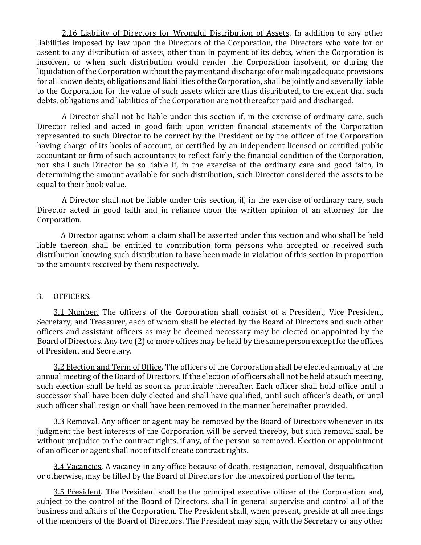2.16 Liability of Directors for Wrongful Distribution of Assets. In addition to any other liabilities imposed by law upon the Directors of the Corporation, the Directors who vote for or assent to any distribution of assets, other than in payment of its debts, when the Corporation is insolvent or when such distribution would render the Corporation insolvent, or during the liquidation of the Corporation without the payment and discharge of or making adequate provisions for all known debts, obligations and liabilities of the Corporation, shall be jointly and severally liable to the Corporation for the value of such assets which are thus distributed, to the extent that such debts, obligations and liabilities of the Corporation are not thereafter paid and discharged.

A Director shall not be liable under this section if, in the exercise of ordinary care, such Director relied and acted in good faith upon written financial statements of the Corporation represented to such Director to be correct by the President or by the officer of the Corporation having charge of its books of account, or certified by an independent licensed or certified public accountant or firm of such accountants to reflect fairly the financial condition of the Corporation, nor shall such Director be so liable if, in the exercise of the ordinary care and good faith, in determining the amount available for such distribution, such Director considered the assets to be equal to their book value.

A Director shall not be liable under this section, if, in the exercise of ordinary care, such Director acted in good faith and in reliance upon the written opinion of an attorney for the Corporation.

 A Director against whom a claim shall be asserted under this section and who shall be held liable thereon shall be entitled to contribution form persons who accepted or received such distribution knowing such distribution to have been made in violation of this section in proportion to the amounts received by them respectively.

#### 3. OFFICERS.

3.1 Number. The officers of the Corporation shall consist of a President, Vice President, Secretary, and Treasurer, each of whom shall be elected by the Board of Directors and such other officers and assistant officers as may be deemed necessary may be elected or appointed by the Board of Directors. Any two (2) or more offices may be held by the same person except for the offices of President and Secretary.

3.2 Election and Term of Office. The officers of the Corporation shall be elected annually at the annual meeting of the Board of Directors. If the election of officers shall not be held at such meeting, such election shall be held as soon as practicable thereafter. Each officer shall hold office until a successor shall have been duly elected and shall have qualified, until such officer's death, or until such officer shall resign or shall have been removed in the manner hereinafter provided.

3.3 Removal. Any officer or agent may be removed by the Board of Directors whenever in its judgment the best interests of the Corporation will be served thereby, but such removal shall be without prejudice to the contract rights, if any, of the person so removed. Election or appointment of an officer or agent shall not of itself create contract rights.

3.4 Vacancies. A vacancy in any office because of death, resignation, removal, disqualification or otherwise, may be filled by the Board of Directors for the unexpired portion of the term.

3.5 President. The President shall be the principal executive officer of the Corporation and, subject to the control of the Board of Directors, shall in general supervise and control all of the business and affairs of the Corporation. The President shall, when present, preside at all meetings of the members of the Board of Directors. The President may sign, with the Secretary or any other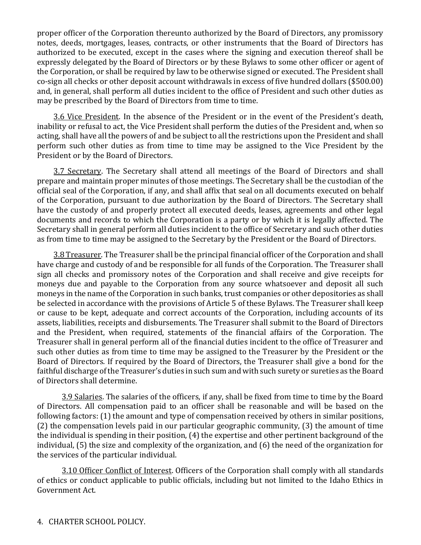proper officer of the Corporation thereunto authorized by the Board of Directors, any promissory notes, deeds, mortgages, leases, contracts, or other instruments that the Board of Directors has authorized to be executed, except in the cases where the signing and execution thereof shall be expressly delegated by the Board of Directors or by these Bylaws to some other officer or agent of the Corporation, or shall be required by law to be otherwise signed or executed. The President shall co-sign all checks or other deposit account withdrawals in excess of five hundred dollars (\$500.00) and, in general, shall perform all duties incident to the office of President and such other duties as may be prescribed by the Board of Directors from time to time.

3.6 Vice President. In the absence of the President or in the event of the President's death, inability or refusal to act, the Vice President shall perform the duties of the President and, when so acting, shall have all the powers of and be subject to all the restrictions upon the President and shall perform such other duties as from time to time may be assigned to the Vice President by the President or by the Board of Directors.

3.7 Secretary. The Secretary shall attend all meetings of the Board of Directors and shall prepare and maintain proper minutes of those meetings. The Secretary shall be the custodian of the official seal of the Corporation, if any, and shall affix that seal on all documents executed on behalf of the Corporation, pursuant to due authorization by the Board of Directors. The Secretary shall have the custody of and properly protect all executed deeds, leases, agreements and other legal documents and records to which the Corporation is a party or by which it is legally affected. The Secretary shall in general perform all duties incident to the office of Secretary and such other duties as from time to time may be assigned to the Secretary by the President or the Board of Directors.

3.8 Treasurer. The Treasurer shall be the principal financial officer of the Corporation and shall have charge and custody of and be responsible for all funds of the Corporation. The Treasurer shall sign all checks and promissory notes of the Corporation and shall receive and give receipts for moneys due and payable to the Corporation from any source whatsoever and deposit all such moneys in the name of the Corporation in such banks, trust companies or other depositories as shall be selected in accordance with the provisions of Article 5 of these Bylaws. The Treasurer shall keep or cause to be kept, adequate and correct accounts of the Corporation, including accounts of its assets, liabilities, receipts and disbursements. The Treasurer shall submit to the Board of Directors and the President, when required, statements of the financial affairs of the Corporation. The Treasurer shall in general perform all of the financial duties incident to the office of Treasurer and such other duties as from time to time may be assigned to the Treasurer by the President or the Board of Directors. If required by the Board of Directors, the Treasurer shall give a bond for the faithful discharge of the Treasurer's duties in such sum and with such surety or sureties as the Board of Directors shall determine.

3.9 Salaries. The salaries of the officers, if any, shall be fixed from time to time by the Board of Directors. All compensation paid to an officer shall be reasonable and will be based on the following factors: (1) the amount and type of compensation received by others in similar positions, (2) the compensation levels paid in our particular geographic community, (3) the amount of time the individual is spending in their position, (4) the expertise and other pertinent background of the individual, (5) the size and complexity of the organization, and (6) the need of the organization for the services of the particular individual.

3.10 Officer Conflict of Interest. Officers of the Corporation shall comply with all standards of ethics or conduct applicable to public officials, including but not limited to the Idaho Ethics in Government Act.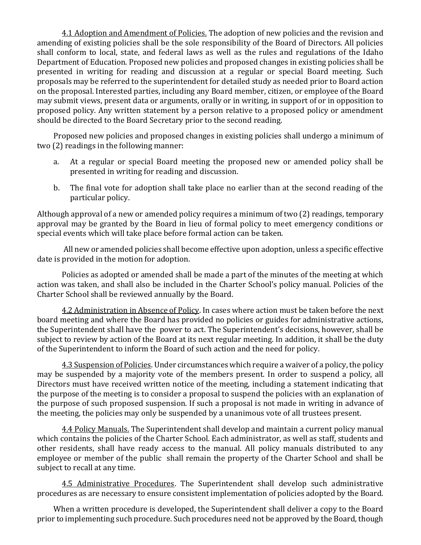4.1 Adoption and Amendment of Policies. The adoption of new policies and the revision and amending of existing policies shall be the sole responsibility of the Board of Directors. All policies shall conform to local, state, and federal laws as well as the rules and regulations of the Idaho Department of Education. Proposed new policies and proposed changes in existing policies shall be presented in writing for reading and discussion at a regular or special Board meeting. Such proposals may be referred to the superintendent for detailed study as needed prior to Board action on the proposal. Interested parties, including any Board member, citizen, or employee of the Board may submit views, present data or arguments, orally or in writing, in support of or in opposition to proposed policy. Any written statement by a person relative to a proposed policy or amendment should be directed to the Board Secretary prior to the second reading.

Proposed new policies and proposed changes in existing policies shall undergo a minimum of two (2) readings in the following manner:

- a. At a regular or special Board meeting the proposed new or amended policy shall be presented in writing for reading and discussion.
- b. The final vote for adoption shall take place no earlier than at the second reading of the particular policy.

Although approval of a new or amended policy requires a minimum of two (2) readings, temporary approval may be granted by the Board in lieu of formal policy to meet emergency conditions or special events which will take place before formal action can be taken.

All new or amended policies shall become effective upon adoption, unless a specific effective date is provided in the motion for adoption.

Policies as adopted or amended shall be made a part of the minutes of the meeting at which action was taken, and shall also be included in the Charter School's policy manual. Policies of the Charter School shall be reviewed annually by the Board.

4.2 Administration in Absence of Policy. In cases where action must be taken before the next board meeting and where the Board has provided no policies or guides for administrative actions, the Superintendent shall have the power to act. The Superintendent's decisions, however, shall be subject to review by action of the Board at its next regular meeting. In addition, it shall be the duty of the Superintendent to inform the Board of such action and the need for policy.

4.3 Suspension of Policies. Under circumstances which require a waiver of a policy, the policy may be suspended by a majority vote of the members present. In order to suspend a policy, all Directors must have received written notice of the meeting, including a statement indicating that the purpose of the meeting is to consider a proposal to suspend the policies with an explanation of the purpose of such proposed suspension. If such a proposal is not made in writing in advance of the meeting, the policies may only be suspended by a unanimous vote of all trustees present.

4.4 Policy Manuals. The Superintendent shall develop and maintain a current policy manual which contains the policies of the Charter School. Each administrator, as well as staff, students and other residents, shall have ready access to the manual. All policy manuals distributed to any employee or member of the public shall remain the property of the Charter School and shall be subject to recall at any time.

4.5 Administrative Procedures. The Superintendent shall develop such administrative procedures as are necessary to ensure consistent implementation of policies adopted by the Board.

When a written procedure is developed, the Superintendent shall deliver a copy to the Board prior to implementing such procedure. Such procedures need not be approved by the Board, though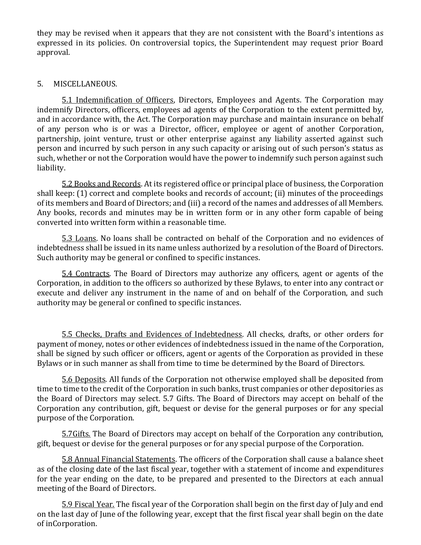they may be revised when it appears that they are not consistent with the Board's intentions as expressed in its policies. On controversial topics, the Superintendent may request prior Board approval.

### 5. MISCELLANEOUS.

5.1 Indemnification of Officers, Directors, Employees and Agents. The Corporation may indemnify Directors, officers, employees ad agents of the Corporation to the extent permitted by, and in accordance with, the Act. The Corporation may purchase and maintain insurance on behalf of any person who is or was a Director, officer, employee or agent of another Corporation, partnership, joint venture, trust or other enterprise against any liability asserted against such person and incurred by such person in any such capacity or arising out of such person's status as such, whether or not the Corporation would have the power to indemnify such person against such liability.

5.2 Books and Records. At its registered office or principal place of business, the Corporation shall keep: (1) correct and complete books and records of account; (ii) minutes of the proceedings of its members and Board of Directors; and (iii) a record of the names and addresses of all Members. Any books, records and minutes may be in written form or in any other form capable of being converted into written form within a reasonable time.

5.3 Loans. No loans shall be contracted on behalf of the Corporation and no evidences of indebtedness shall be issued in its name unless authorized by a resolution of the Board of Directors. Such authority may be general or confined to specific instances.

5.4 Contracts. The Board of Directors may authorize any officers, agent or agents of the Corporation, in addition to the officers so authorized by these Bylaws, to enter into any contract or execute and deliver any instrument in the name of and on behalf of the Corporation, and such authority may be general or confined to specific instances.

5.5 Checks, Drafts and Evidences of Indebtedness. All checks, drafts, or other orders for payment of money, notes or other evidences of indebtedness issued in the name of the Corporation, shall be signed by such officer or officers, agent or agents of the Corporation as provided in these Bylaws or in such manner as shall from time to time be determined by the Board of Directors.

5.6 Deposits. All funds of the Corporation not otherwise employed shall be deposited from time to time to the credit of the Corporation in such banks, trust companies or other depositories as the Board of Directors may select. 5.7 Gifts. The Board of Directors may accept on behalf of the Corporation any contribution, gift, bequest or devise for the general purposes or for any special purpose of the Corporation.

5.7Gifts. The Board of Directors may accept on behalf of the Corporation any contribution, gift, bequest or devise for the general purposes or for any special purpose of the Corporation.

5.8 Annual Financial Statements. The officers of the Corporation shall cause a balance sheet as of the closing date of the last fiscal year, together with a statement of income and expenditures for the year ending on the date, to be prepared and presented to the Directors at each annual meeting of the Board of Directors.

5.9 Fiscal Year. The fiscal year of the Corporation shall begin on the first day of July and end on the last day of June of the following year, except that the first fiscal year shall begin on the date of inCorporation.